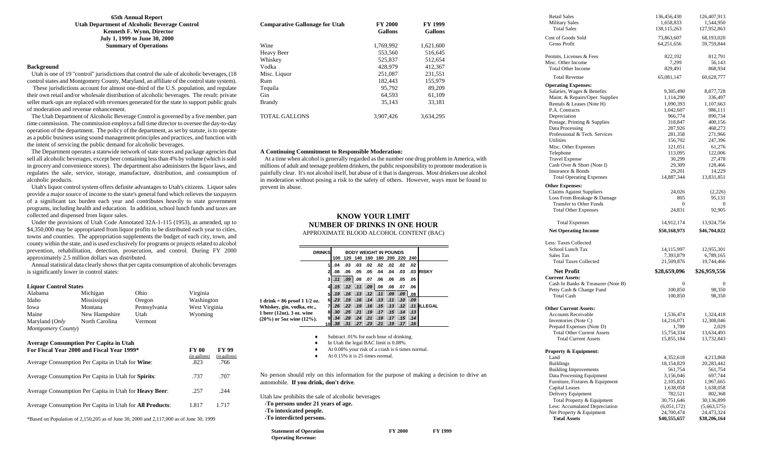# **65th Annual Report Utah Department of Alcoholic Beverage Control Kenneth F. Wynn, Director July 1, 1999 to June 30, 2000 Summary of Operations**

# **Background**

 Utah is one of 19 "control" jurisdictions that control the sale of alcoholic beverages, (18 control states and Montgomery County, Maryland, an affiliate of the control state system).

 These jurisdictions account for almost one-third of the U.S. population, and regulate their own retail and/or wholesale distribution of alcoholic beverages. The result: private seller mark-ups are replaced with revenues generated for the state to support public goals of moderation and revenue enhancement.

 The Utah Department of Alcoholic Beverage Control is governed by a five member, part time commission. The commission employs a full time director to oversee the day-to-day operation of the department. The policy of the department, as set by statute, is to operate as a public business using sound management principles and practices, and function with the intent of servicing the public demand for alcoholic beverages.

 The Department operates a statewide network of state stores and package agencies that sell all alcoholic beverages, except beer containing less than 4% by volume (which is sold in grocery and convenience stores). The department also administers the liquor laws, and regulates the sale, service, storage, manufacture, distribution, and consumption of alcoholic products.

 Utah's liquor control system offers definite advantages to Utah's citizens. Liquor sales provide a major source of income to the state's general fund which relieves the taxpayers of a significant tax burden each year and contributes heavily to state government programs, including health and education. In addition, school lunch funds and taxes are collected and dispensed from liquor sales.

 Under the provisions of Utah Code Annotated 32A-1-115 (1953), as amended, up to \$4,350,000 may be appropriated from liquor profits to be distributed each year to cities, towns and counties. The appropriation supplements the budget of each city, town, and county within the state, and is used exclusively for programs or projects related to alcohol prevention, rehabilitation, detection, prosecution, and control. During FY 2000 approximately 2.5 million dollars was distributed.

 Annual statistical data clearly shows that per capita consumption of alcoholic beverages is significantly lower in control states:

## **Liquor Control States**

| Alabama            | Michigan       | Ohio         | Virginia      |
|--------------------|----------------|--------------|---------------|
| Idaho              | Mississippi    | Oregon       | Washington    |
| Iowa               | Montana        | Pennsylvania | West Virginia |
| Maine              | New Hampshire  | Utah         | Wyoming       |
| Maryland (Only     | North Carolina | Vermont      |               |
| Montgomery County) |                |              |               |
|                    |                |              |               |

# **Average Consumption Per Capita in Utah**

| For Fiscal Year 2000 and Fiscal Year 1999*                       | <b>FY 00</b><br>(in gallons) | FY 99<br>(in gallons) |
|------------------------------------------------------------------|------------------------------|-----------------------|
| Average Consumption Per Capita in Utah for Wine:                 | .823                         | .766                  |
| Average Consumption Per Capita in Utah for Spirits:              | .737                         | .707                  |
| Average Consumption Per Capita in Utah for <b>Heavy Beer</b> :   | .257                         | .244                  |
| Average Consumption Per Capita in Utah for <b>All Products</b> : | 1.817                        | 1.717                 |
|                                                                  |                              |                       |

\*Based on Population of 2,150,205 as of June 30, 2000 and 2,117,000 as of June 30, 1999

| <b>Comparative Gallonage for Utah</b> | <b>FY 2000</b><br><b>Gallons</b> | <b>FY 1999</b><br><b>Gallons</b> |
|---------------------------------------|----------------------------------|----------------------------------|
| Wine                                  | 1,769,992                        | 1,621,600                        |
| <b>Heavy Beer</b>                     | 553,560                          | 516,645                          |
| Whiskey                               | 525,837                          | 512.654                          |
| Vodka                                 | 428,979                          | 412,367                          |
| Misc. Liquor                          | 251.087                          | 231.551                          |
| Run                                   | 182,443                          | 155,979                          |
| Tequila                               | 95.792                           | 89.209                           |
| <b>Gin</b>                            | 64.593                           | 61,109                           |
| <b>Brandy</b>                         | 35.143                           | 33,181                           |
| TOTAL GALLONS                         | 3.907.426                        | 3,634,295                        |

# **A Continuing Commitment to Responsible Moderation:**

 At a time when alcohol is generally regarded as the number one drug problem in America, with millions of adult and teenage problem drinkers, the public responsibility to promote moderation is painfully clear. It's not alcohol itself, but abuse of it that is dangerous. Most drinkers use alcohol in moderation without posing a risk to the safety of others. However, ways must be found to prevent its abuse.

# **KNOW YOUR LIMIT NUMBER OF DRINKS IN ONE HOUR**

APPROXIMATE BLOOD ALCOHOL CONTENT (BAC)

|                                                                                                                                                 | <b>DRINKS</b> |                       |                                    |                  |         |     |             | <b>BODY WEIGHT IN POUNDS</b> |                                                                 |     |                     |
|-------------------------------------------------------------------------------------------------------------------------------------------------|---------------|-----------------------|------------------------------------|------------------|---------|-----|-------------|------------------------------|-----------------------------------------------------------------|-----|---------------------|
|                                                                                                                                                 |               |                       |                                    |                  |         |     |             |                              | 100 120 140 160 180 200 220 240                                 |     |                     |
|                                                                                                                                                 |               | 1                     | .04                                | .03              | .03     |     | $.02$ $.02$ | .02                          | .02                                                             | .02 |                     |
|                                                                                                                                                 |               | 21                    | .08                                | .06              | .05     | .05 | .04         | .04                          | .03                                                             |     | .03 RISKY           |
|                                                                                                                                                 |               | 31                    | .11                                | .09              | $.08\,$ | .07 | .06         | .06                          | .05                                                             | .05 |                     |
|                                                                                                                                                 |               |                       |                                    |                  |         |     |             |                              |                                                                 |     |                     |
|                                                                                                                                                 |               | 4                     | .15                                | .12              | .11     | .09 | .08         | .08                          | .07                                                             | .06 |                     |
|                                                                                                                                                 |               | 5                     | .19                                | .16              | .13     | .12 | .11         | .09                          | .09                                                             | .08 |                     |
| 1 drink = $86 \text{ proof} 11/2 \text{ oz.}$                                                                                                   |               | 6                     | .23                                | .19              | .16     | .14 | .13         |                              | $.11$ $.10$ $.09$                                               |     |                     |
| Whiskey, gin, vodka, etc.,                                                                                                                      |               | 7                     | .26                                | .22 <sub>1</sub> | .19     | .16 | .15         |                              |                                                                 |     | .13 .12 .11 ILLEGAL |
| 1 beer $(12oz)$ , 3 oz. wine                                                                                                                    |               | 81                    | .30 <sub>1</sub>                   |                  |         |     |             |                              | .25 .21 .19 .17 .15 .14 .13<br>.34. 15. 17. 19. 21. 21. 24. 24. |     |                     |
| $(20\%)$ or 5oz wine $(12\%)$ .                                                                                                                 |               | 91<br>10 <sup>1</sup> | .38 <sub>1</sub>                   |                  |         |     |             |                              | .31 .27 .23 .21 .19 .17 .16                                     |     |                     |
| No person should rely on this information for the purpose of making a decision to drive an                                                      |               |                       | At $0.15\%$ it is 25 times normal. |                  |         |     |             |                              |                                                                 |     |                     |
| automobile. If you drink, don't drive.                                                                                                          |               |                       |                                    |                  |         |     |             |                              |                                                                 |     |                     |
| Utah law prohibits the sale of alcoholic beverages<br>-To persons under 21 years of age.<br>-To intoxicated people.<br>-To interdicted persons. |               |                       |                                    |                  |         |     |             |                              |                                                                 |     |                     |
| <b>Statement of Operation</b><br><b>Operating Revenue:</b>                                                                                      |               |                       |                                    |                  |         |     |             |                              | <b>FY 2000</b>                                                  |     | <b>FY 1999</b>      |

| <b>Retail Sales</b>                                     | 136,456,430   | 126,407,913  |
|---------------------------------------------------------|---------------|--------------|
| <b>Military Sales</b>                                   | 1,658,833     | 1,544,950    |
| <b>Total Sales</b>                                      | 138, 115, 263 | 127,952,863  |
| <b>Cost of Goods Sold</b>                               | 73,863,607    | 68,193,020   |
| <b>Gross Profit</b>                                     | 64,251,656    | 59,759,844   |
|                                                         |               |              |
| Permits, Licenses & Fees                                | 822,192       | 812,791      |
| Misc. Other Income                                      | 7,299         | 56,143       |
| <b>Total Other Income</b>                               | 829,491       | 868,934      |
|                                                         |               |              |
| <b>Total Revenue</b>                                    | 65,081,147    | 60,628,777   |
| <b>Operating Expenses:</b>                              |               |              |
| Salaries, Wages & Benefits                              | 9,305,490     | 8,877,728    |
| Maint. & Repairs/Oper. Supplies                         | 1,114,290     | 336,497      |
| Rentals & Leases (Note H)                               | 1,090,393     | 1,107,663    |
| P.A. Contracts                                          | 1,042,607     | 986,111      |
| Depreciation                                            | 966,774       | 890,734      |
| Postage, Printing & Supplies                            | 318,847       | 400,156      |
| Data Processing                                         | 287,926       | 468,273      |
| Professional & Tech. Services                           | 281,358       | 271,966      |
| Utilities                                               | 156,702       | 247,396      |
| Misc. Other Expenses                                    | 121,051       | 61,276       |
|                                                         |               |              |
| Telephone                                               | 113,095       | 122,006      |
| <b>Travel Expense</b>                                   | 30,299        | 27,478       |
| Cash Over & Short (Note I)                              | 29,309        | 128,466      |
| Insurance & Bonds                                       | 29,201        | 14,229       |
| <b>Total Operating Expenses</b>                         | 14,887,344    | 13,831,851   |
| <b>Other Expenses:</b>                                  |               |              |
| <b>Claims Against Suppliers</b>                         | 24,026        | (2,226)      |
| Loss From Breakage & Damage                             | 805           | 95,131       |
| <b>Transfer to Other Funds</b>                          | $\theta$      | 0            |
| <b>Total Other Expenses</b>                             | 24,831        | 92,905       |
|                                                         |               |              |
| <b>Total Expenses</b>                                   | 14,912,174    | 13,924,756   |
| <b>Net Operating Income</b>                             | \$50,168,973  | \$46,704,022 |
|                                                         |               |              |
| Less: Taxes Collected                                   |               |              |
| School Lunch Tax                                        | 14,115,997    | 12,955,301   |
| Sales Tax                                               | 7,393,879     | 6,789,165    |
| <b>Total Taxes Collected</b>                            | 21,509,876    | 19,744,466   |
| <b>Net Profit</b>                                       | \$28,659,096  | \$26,959,556 |
| <b>Current Assets:</b>                                  |               |              |
| Cash In Banks & Treasurer (Note B)                      | 0             | 0            |
| Petty Cash & Change Fund                                | 100,850       | 98,350       |
|                                                         |               |              |
| <b>Total Cash</b>                                       | 100,850       | 98,350       |
| <b>Other Current Assets:</b>                            |               |              |
| <b>Accounts Receivable</b>                              | 1,536,474     | 1,324,418    |
|                                                         |               |              |
| Inventories (Note C)                                    | 14,216,071    | 12,308,046   |
| Prepaid Expenses (Note D)                               | 1,789         | 2,029        |
| <b>Total Other Current Assets</b>                       | 15,754,334    | 13,634,493   |
| <b>Total Current Assets</b>                             | 15,855,184    | 13,732,843   |
|                                                         |               |              |
|                                                         |               |              |
|                                                         |               |              |
| Land                                                    | 4,352,618     | 4,213,868    |
| <b>Buildings</b>                                        | 18,154,829    | 20,283,442   |
| <b>Building Improvements</b>                            | 561,754       | 561,754      |
| Data Processing Equipment                               | 3,156,046     | 697,744      |
| Furniture, Fixtures & Equipment                         | 2,105,821     | 1,967,665    |
| Capital Leases                                          | 1,638,058     | 1,638,058    |
| Delivery Equipment                                      | 782,521       | 802,368      |
|                                                         |               |              |
| Total Property & Equipment                              | 30,751,646    | 30,136,899   |
| Property & Equipment:<br>Less: Accumulated Depreciation | (6,051,172)   | (5,663,575)  |
| Net Property & Equipment                                | 24,700,474    | 24,473,324   |
| <b>Total Assets</b>                                     | \$40,555,657  | \$38,206,164 |